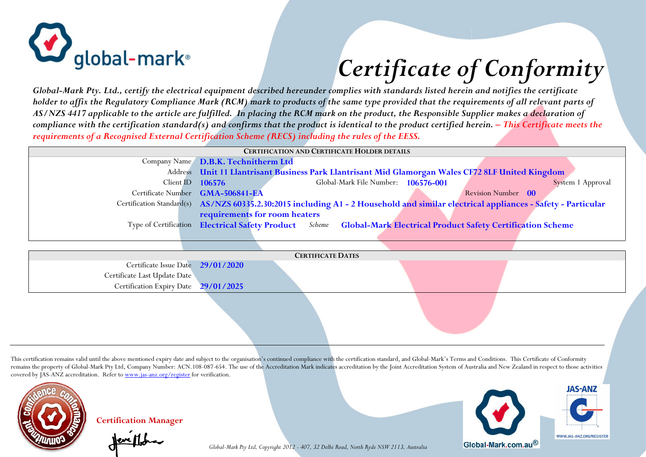

## *Certificate of Conformity*

*Global-Mark Pty. Ltd., certify the electrical equipment described hereunder complies with standards listed herein and notifies the certificate holder to affix the Regulatory Compliance Mark (RCM) mark to products of the same type provided that the requirements of all relevant parts of AS/NZS 4417 applicable to the article are fulfilled. In placing the RCM mark on the product, the Responsible Supplier makes a declaration of compliance with the certification standard(s) and confirms that the product is identical to the product certified herein. – This Certificate meets the requirements of a Recognised External Certification Scheme (RECS) including the rules of the EESS.*

| <b>CERTIFICATION AND CERTIFICATE HOLDER DETAILS</b>                                               |                                                                                                                                                                                                                                                                                                                                                                                                                                    |  |  |  |  |
|---------------------------------------------------------------------------------------------------|------------------------------------------------------------------------------------------------------------------------------------------------------------------------------------------------------------------------------------------------------------------------------------------------------------------------------------------------------------------------------------------------------------------------------------|--|--|--|--|
|                                                                                                   |                                                                                                                                                                                                                                                                                                                                                                                                                                    |  |  |  |  |
| Address Unit 11 Llantrisant Business Park Llantrisant Mid Glamorgan Wales CF72 8LF United Kingdom |                                                                                                                                                                                                                                                                                                                                                                                                                                    |  |  |  |  |
| Global-Mark File Number: 106576-001                                                               | System 1 Approval                                                                                                                                                                                                                                                                                                                                                                                                                  |  |  |  |  |
|                                                                                                   | Revision Number 00                                                                                                                                                                                                                                                                                                                                                                                                                 |  |  |  |  |
|                                                                                                   |                                                                                                                                                                                                                                                                                                                                                                                                                                    |  |  |  |  |
| requirements for room heaters                                                                     |                                                                                                                                                                                                                                                                                                                                                                                                                                    |  |  |  |  |
|                                                                                                   |                                                                                                                                                                                                                                                                                                                                                                                                                                    |  |  |  |  |
|                                                                                                   |                                                                                                                                                                                                                                                                                                                                                                                                                                    |  |  |  |  |
|                                                                                                   |                                                                                                                                                                                                                                                                                                                                                                                                                                    |  |  |  |  |
| <b>CERTIFICATE DATES</b>                                                                          |                                                                                                                                                                                                                                                                                                                                                                                                                                    |  |  |  |  |
|                                                                                                   |                                                                                                                                                                                                                                                                                                                                                                                                                                    |  |  |  |  |
|                                                                                                   |                                                                                                                                                                                                                                                                                                                                                                                                                                    |  |  |  |  |
| 29/01/2025                                                                                        |                                                                                                                                                                                                                                                                                                                                                                                                                                    |  |  |  |  |
|                                                                                                   |                                                                                                                                                                                                                                                                                                                                                                                                                                    |  |  |  |  |
|                                                                                                   |                                                                                                                                                                                                                                                                                                                                                                                                                                    |  |  |  |  |
| Certificate Last Update Date                                                                      | Company Name D.B.K. Technitherm Ltd<br>Client ID $106576$<br>Certificate Number GMA-506841-EA<br>Certification Standard(s) AS/NZS 60335.2.30:2015 including A1 - 2 Household and similar electrical appliances - Safety - Particular<br>Type of Certification Electrical Safety Product Scheme Global-Mark Electrical Product Safety Certification Scheme<br>Certificate Issue Date 29/01/2020<br><b>Certification Expiry Date</b> |  |  |  |  |

This certification remains valid until the above mentioned expiry date and subject to the organisation's continued compliance with the certification standard, and Global-Mark's Terms and Conditions. This Certificate of Con remains the property of Global-Mark Pty Ltd, Company Number: ACN.108-087-654. The use of the Accreditation Mark indicates accreditation by the Joint Accreditation System of Australia and New Zealand in respect to those act covered by JAS-ANZ accreditation. Refer to www.jas-anz.org/register for verification.

*Global-Mark Pty Ltd, Copyright 2012 - 407, 32 Delhi Road, North Ryde NSW 2113, Australia* 



**Certification Manager**